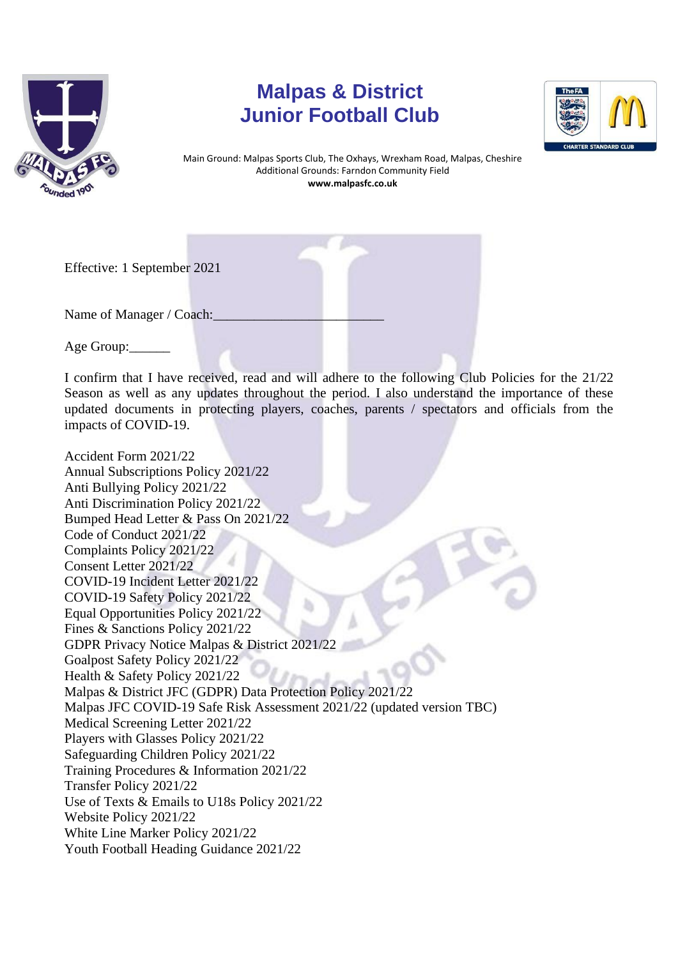

## **Malpas & District Junior Football Club**



Main Ground: Malpas Sports Club, The Oxhays, Wrexham Road, Malpas, Cheshire Additional Grounds: Farndon Community Field **www.malpasfc.co.uk** 

Effective: 1 September 2021

Name of Manager / Coach:

Age Group:\_\_\_\_\_\_

I confirm that I have received, read and will adhere to the following Club Policies for the 21/22 Season as well as any updates throughout the period. I also understand the importance of these updated documents in protecting players, coaches, parents / spectators and officials from the impacts of COVID-19.

Accident Form 2021/22 Annual Subscriptions Policy 2021/22 Anti Bullying Policy 2021/22 Anti Discrimination Policy 2021/22 Bumped Head Letter & Pass On 2021/22 Code of Conduct 2021/22 Complaints Policy 2021/22 Consent Letter 2021/22 COVID-19 Incident Letter 2021/22 COVID-19 Safety Policy 2021/22 Equal Opportunities Policy 2021/22 Fines & Sanctions Policy 2021/22 GDPR Privacy Notice Malpas & District 2021/22 Goalpost Safety Policy 2021/22 Health & Safety Policy 2021/22 Malpas & District JFC (GDPR) Data Protection Policy 2021/22 Malpas JFC COVID-19 Safe Risk Assessment 2021/22 (updated version TBC) Medical Screening Letter 2021/22 Players with Glasses Policy 2021/22 Safeguarding Children Policy 2021/22 Training Procedures & Information 2021/22 Transfer Policy 2021/22 Use of Texts & Emails to U18s Policy 2021/22 Website Policy 2021/22 White Line Marker Policy 2021/22 Youth Football Heading Guidance 2021/22